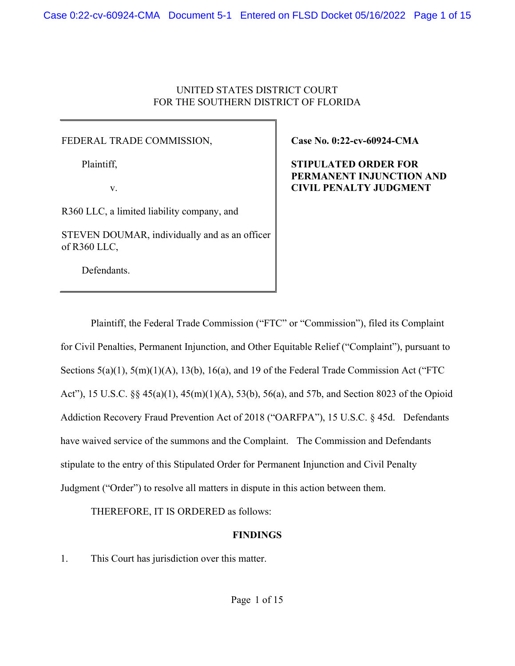## UNITED STATES DISTRICT COURT FOR THE SOUTHERN DISTRICT OF FLORIDA

## FEDERAL TRADE COMMISSION,

Plaintiff,

v.

R360 LLC, a limited liability company, and

 STEVEN DOUMAR, individually and as an officer of R360 LLC,

Defendants.

## Case No. 0:22-cv-60924-CMA

 STIPULATED ORDER FOR PERMANENT INJUNCTION AND CIVIL PENALTY JUDGMENT

 Plaintiff, the Federal Trade Commission ("FTC" or "Commission"), filed its Complaint for Civil Penalties, Permanent Injunction, and Other Equitable Relief ("Complaint"), pursuant to Sections 5(a)(1), 5(m)(1)(A), 13(b), 16(a), and 19 of the Federal Trade Commission Act ("FTC Act"), 15 U.S.C. §§ 45(a)(1), 45(m)(1)(A), 53(b), 56(a), and 57b, and Section 8023 of the Opioid Addiction Recovery Fraud Prevention Act of 2018 ("OARFPA"), 15 U.S.C. § 45d. Defendants have waived service of the summons and the Complaint. The Commission and Defendants stipulate to the entry of this Stipulated Order for Permanent Injunction and Civil Penalty Judgment ("Order") to resolve all matters in dispute in this action between them.

THEREFORE, IT IS ORDERED as follows:

# **FINDINGS**

1. This Court has jurisdiction over this matter.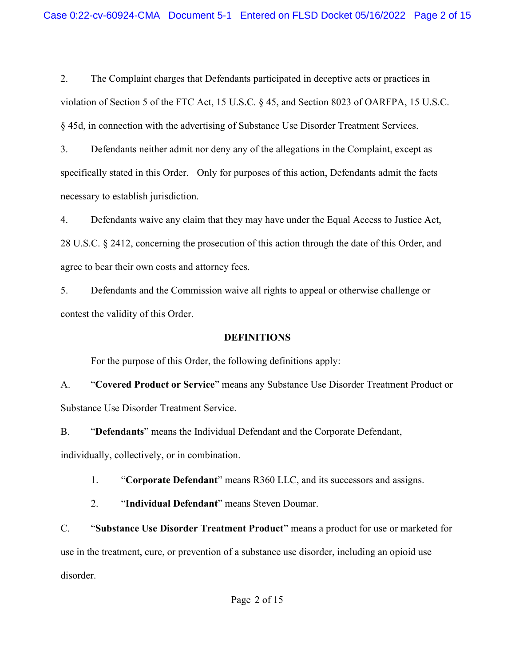$2.$  violation of Section 5 of the FTC Act, 15 U.S.C. § 45, and Section 8023 of OARFPA, 15 U.S.C. § 45d, in connection with the advertising of Substance Use Disorder Treatment Services. The Complaint charges that Defendants participated in deceptive acts or practices in

 3. Defendants neither admit nor deny any of the allegations in the Complaint, except as specifically stated in this Order. Only for purposes of this action, Defendants admit the facts necessary to establish jurisdiction.

 4. Defendants waive any claim that they may have under the Equal Access to Justice Act, 28 U.S.C. § 2412, concerning the prosecution of this action through the date of this Order, and agree to bear their own costs and attorney fees.

 5. Defendants and the Commission waive all rights to appeal or otherwise challenge or contest the validity of this Order.

# **DEFINITIONS**

For the purpose of this Order, the following definitions apply:

A. "Covered Product or Service" means any Substance Use Disorder Treatment Product or Substance Use Disorder Treatment Service.

B. "Defendants" means the Individual Defendant and the Corporate Defendant, individually, collectively, or in combination.

1. "Corporate Defendant" means R360 LLC, and its successors and assigns.

2. "Individual Defendant" means Steven Doumar.

C. "Substance Use Disorder Treatment Product" means a product for use or marketed for use in the treatment, cure, or prevention of a substance use disorder, including an opioid use disorder.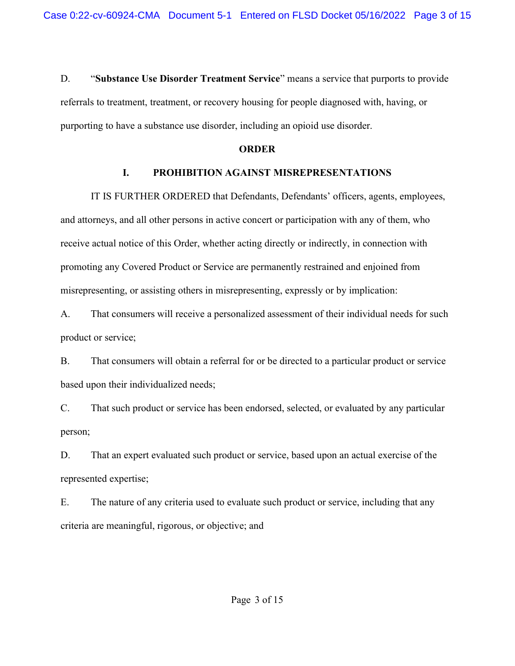D. "Substance Use Disorder Treatment Service" means a service that purports to provide referrals to treatment, treatment, or recovery housing for people diagnosed with, having, or purporting to have a substance use disorder, including an opioid use disorder.

### ORDER

### L PROHIBITION AGAINST MISREPRESENTATIONS

 IT IS FURTHER ORDERED that Defendants, Defendants' officers, agents, employees, and attorneys, and all other persons in active concert or participation with any of them, who receive actual notice of this Order, whether acting directly or indirectly, in connection with promoting any Covered Product or Service are permanently restrained and enjoined from misrepresenting, or assisting others in misrepresenting, expressly or by implication:

 $A<sub>1</sub>$  product or service; That consumers will receive a personalized assessment of their individual needs for such

**B.**  based upon their individualized needs; That consumers will obtain a referral for or be directed to a particular product or service

 $C_{\cdot}$ That such product or service has been endorsed, selected, or evaluated by any particular person;

D. represented expertise; That an expert evaluated such product or service, based upon an actual exercise of the

E. criteria are meaningful, rigorous, or objective; and The nature of any criteria used to evaluate such product or service, including that any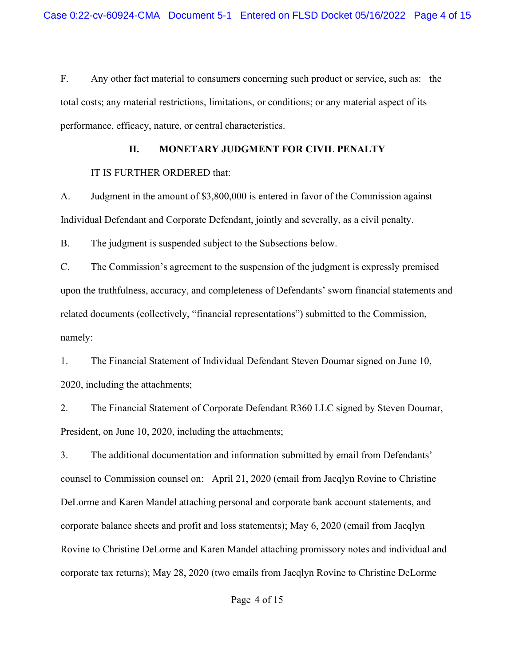F. total costs; any material restrictions, limitations, or conditions; or any material aspect of its performance, efficacy, nature, or central characteristics. Any other fact material to consumers concerning such product or service, such as: the

### II. **MONETARY JUDGMENT FOR CIVIL PENALTY**

### IT IS FURTHER ORDERED that:

 A. Judgment in the amount of \$3,800,000 is entered in favor of the Commission against Individual Defendant and Corporate Defendant, jointly and severally, as a civil penalty.

**B.** The judgment is suspended subject to the Subsections below.

 $C_{\cdot}$  upon the truthfulness, accuracy, and completeness of Defendants' sworn financial statements and related documents (collectively, "financial representations") submitted to the Commission, namely: The Commission's agreement to the suspension of the judgment is expressly premised

1. 2020, including the attachments; 1. The Financial Statement of Individual Defendant Steven Doumar signed on June 10,

 $2.$  President, on June 10, 2020, including the attachments; The Financial Statement of Corporate Defendant R360 LLC signed by Steven Doumar,

 $\overline{3}$ . counsel to Commission counsel on: April 21, 2020 (email from Jacqlyn Rovine to Christine DeLorme and Karen Mandel attaching personal and corporate bank account statements, and corporate balance sheets and profit and loss statements); May 6, 2020 (email from Jacqlyn Rovine to Christine DeLorme and Karen Mandel attaching promissory notes and individual and corporate tax returns); May 28, 2020 (two emails from Jacqlyn Rovine to Christine DeLorme The additional documentation and information submitted by email from Defendants'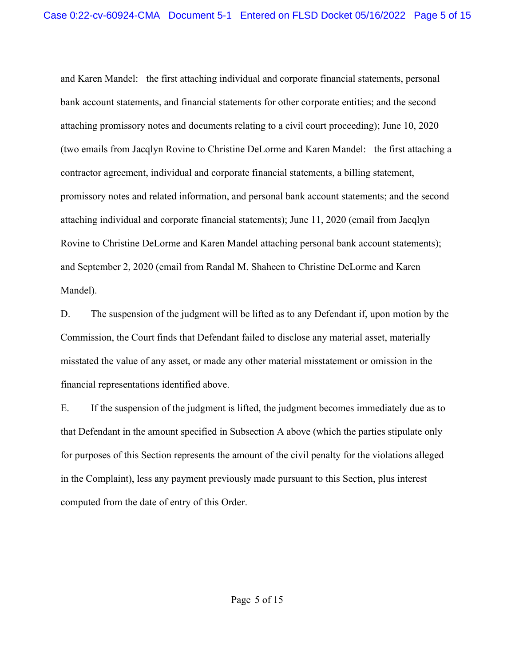and Karen Mandel: the first attaching individual and corporate financial statements, personal bank account statements, and financial statements for other corporate entities; and the second attaching promissory notes and documents relating to a civil court proceeding); June 10, 2020 (two emails from Jacqlyn Rovine to Christine DeLorme and Karen Mandel: the first attaching a contractor agreement, individual and corporate financial statements, a billing statement, promissory notes and related information, and personal bank account statements; and the second attaching individual and corporate financial statements); June 11, 2020 (email from Jacqlyn Rovine to Christine DeLorme and Karen Mandel attaching personal bank account statements); and September 2, 2020 (email from Randal M. Shaheen to Christine DeLorme and Karen Mandel).

D. Commission, the Court finds that Defendant failed to disclose any material asset, materially misstated the value of any asset, or made any other material misstatement or omission in the financial representations identified above. The suspension of the judgment will be lifted as to any Defendant if, upon motion by the

E. that Defendant in the amount specified in Subsection A above (which the parties stipulate only for purposes of this Section represents the amount of the civil penalty for the violations alleged in the Complaint), less any payment previously made pursuant to this Section, plus interest computed from the date of entry of this Order. If the suspension of the judgment is lifted, the judgment becomes immediately due as to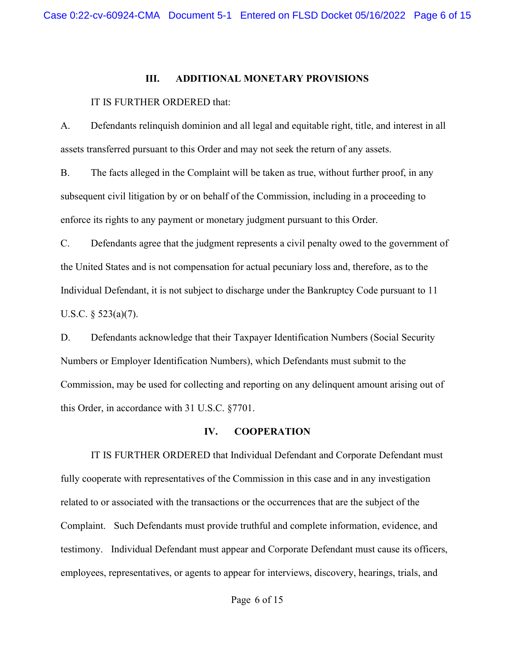### Ш. ADDITIONAL MONETARY PROVISIONS

### IT IS FURTHER ORDERED that:

 A. Defendants relinquish dominion and all legal and equitable right, title, and interest in all assets transferred pursuant to this Order and may not seek the return of any assets.

 $B<sub>r</sub>$  subsequent civil litigation by or on behalf of the Commission, including in a proceeding to enforce its rights to any payment or monetary judgment pursuant to this Order. The facts alleged in the Complaint will be taken as true, without further proof, in any

 C. Defendants agree that the judgment represents a civil penalty owed to the government of the United States and is not compensation for actual pecuniary loss and, therefore, as to the Individual Defendant, it is not subject to discharge under the Bankruptcy Code pursuant to 11 U.S.C. § 523(a)(7).

 D. Defendants acknowledge that their Taxpayer Identification Numbers (Social Security Numbers or Employer Identification Numbers), which Defendants must submit to the Commission, may be used for collecting and reporting on any delinquent amount arising out of this Order, in accordance with 31 U.S.C. §7701.

#### IV. **COOPERATION**

 IT IS FURTHER ORDERED that Individual Defendant and Corporate Defendant must fully cooperate with representatives of the Commission in this case and in any investigation related to or associated with the transactions or the occurrences that are the subject of the Complaint. Such Defendants must provide truthful and complete information, evidence, and testimony. Individual Defendant must appear and Corporate Defendant must cause its officers, employees, representatives, or agents to appear for interviews, discovery, hearings, trials, and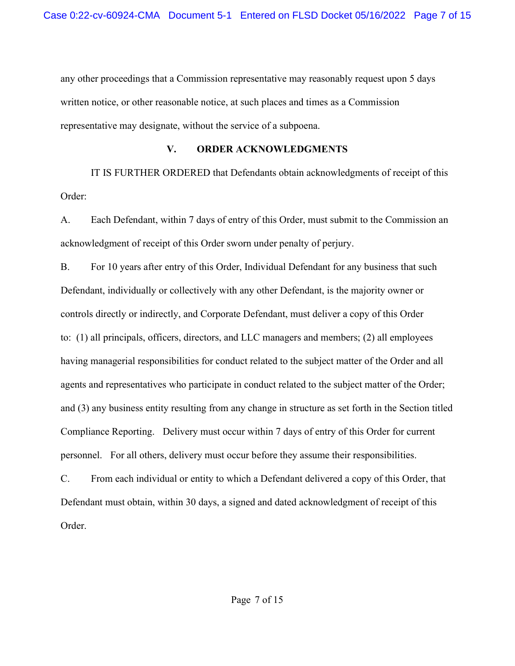any other proceedings that a Commission representative may reasonably request upon 5 days written notice, or other reasonable notice, at such places and times as a Commission representative may designate, without the service of a subpoena.

### V. ORDER ACKNOWLEDGMENTS

 IT IS FURTHER ORDERED that Defendants obtain acknowledgments of receipt of this Order:

 $A<sub>1</sub>$  acknowledgment of receipt of this Order sworn under penalty of perjury. Each Defendant, within 7 days of entry of this Order, must submit to the Commission an

**B.**  Defendant, individually or collectively with any other Defendant, is the majority owner or controls directly or indirectly, and Corporate Defendant, must deliver a copy of this Order to: (1) all principals, officers, directors, and LLC managers and members; (2) all employees having managerial responsibilities for conduct related to the subject matter of the Order and all agents and representatives who participate in conduct related to the subject matter of the Order; and (3) any business entity resulting from any change in structure as set forth in the Section titled Compliance Reporting. Delivery must occur within 7 days of entry of this Order for current personnel. For all others, delivery must occur before they assume their responsibilities. For 10 years after entry of this Order, Individual Defendant for any business that such

 $C_{\cdot}$  Defendant must obtain, within 30 days, a signed and dated acknowledgment of receipt of this From each individual or entity to which a Defendant delivered a copy of this Order, that Order.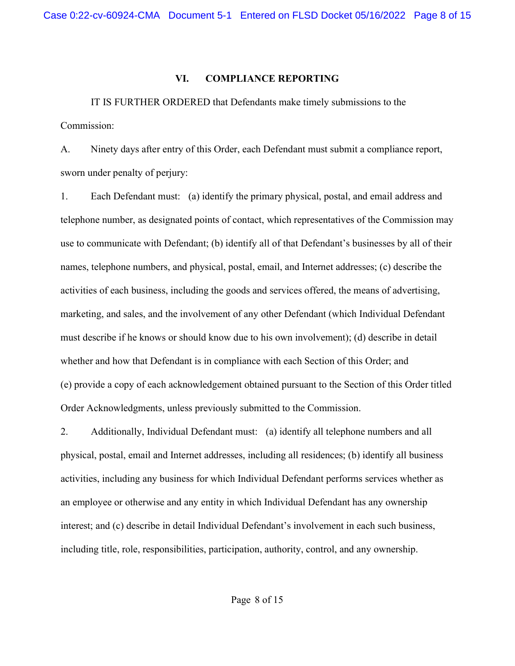### VI. **COMPLIANCE REPORTING**

 IT IS FURTHER ORDERED that Defendants make timely submissions to the Commission:

 $A<sub>1</sub>$  sworn under penalty of perjury: Ninety days after entry of this Order, each Defendant must submit a compliance report,

 $1<sup>1</sup>$  telephone number, as designated points of contact, which representatives of the Commission may use to communicate with Defendant; (b) identify all of that Defendant's businesses by all of their names, telephone numbers, and physical, postal, email, and Internet addresses; (c) describe the activities of each business, including the goods and services offered, the means of advertising, marketing, and sales, and the involvement of any other Defendant (which Individual Defendant must describe if he knows or should know due to his own involvement); (d) describe in detail whether and how that Defendant is in compliance with each Section of this Order; and (e) provide a copy of each acknowledgement obtained pursuant to the Section of this Order titled Order Acknowledgments, unless previously submitted to the Commission. Each Defendant must: (a) identify the primary physical, postal, and email address and

 2. Additionally, Individual Defendant must: (a) identify all telephone numbers and all physical, postal, email and Internet addresses, including all residences; (b) identify all business activities, including any business for which Individual Defendant performs services whether as an employee or otherwise and any entity in which Individual Defendant has any ownership interest; and (c) describe in detail Individual Defendant's involvement in each such business, including title, role, responsibilities, participation, authority, control, and any ownership.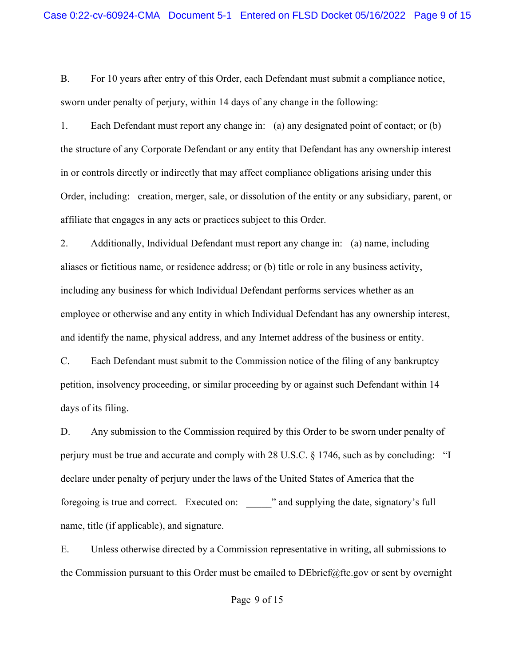**B.**  sworn under penalty of perjury, within 14 days of any change in the following: For 10 years after entry of this Order, each Defendant must submit a compliance notice,

1. the structure of any Corporate Defendant or any entity that Defendant has any ownership interest in or controls directly or indirectly that may affect compliance obligations arising under this Order, including: creation, merger, sale, or dissolution of the entity or any subsidiary, parent, or affiliate that engages in any acts or practices subject to this Order. Each Defendant must report any change in: (a) any designated point of contact; or  $(b)$ 

 2. Additionally, Individual Defendant must report any change in: (a) name, including aliases or fictitious name, or residence address; or (b) title or role in any business activity, including any business for which Individual Defendant performs services whether as an employee or otherwise and any entity in which Individual Defendant has any ownership interest, and identify the name, physical address, and any Internet address of the business or entity.

 $C.$  petition, insolvency proceeding, or similar proceeding by or against such Defendant within 14 days of its filing. Each Defendant must submit to the Commission notice of the filing of any bankruptcy

D. perjury must be true and accurate and comply with 28 U.S.C. § 1746, such as by concluding: "I declare under penalty of perjury under the laws of the United States of America that the foregoing is true and correct. Executed on: "and supplying the date, signatory's full name, title (if applicable), and signature. Any submission to the Commission required by this Order to be sworn under penalty of

E. the Commission pursuant to this Order must be emailed to [DEbrief@ftc.gov](mailto:DEbrief@ftc.gov) or sent by overnight Unless otherwise directed by a Commission representative in writing, all submissions to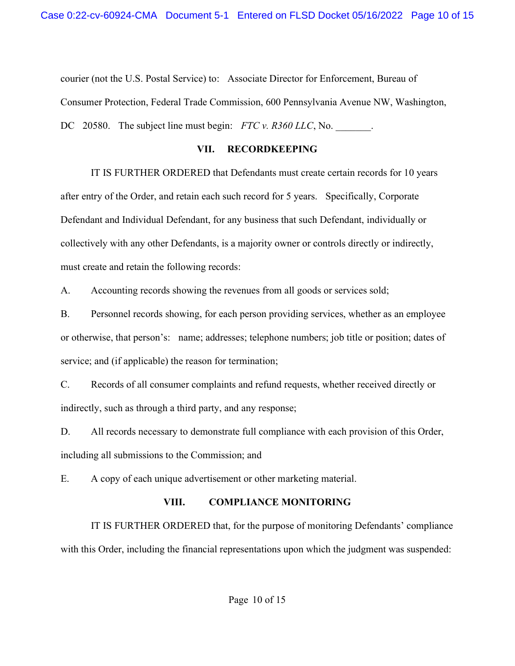courier (not the U.S. Postal Service) to: Associate Director for Enforcement, Bureau of Consumer Protection, Federal Trade Commission, 600 Pennsylvania Avenue NW, Washington, DC 20580. The subject line must begin:  $FTC v. R360 LLC$ , No.

### VII. **RECORDKEEPING**

 IT IS FURTHER ORDERED that Defendants must create certain records for 10 years after entry of the Order, and retain each such record for 5 years. Specifically, Corporate Defendant and Individual Defendant, for any business that such Defendant, individually or collectively with any other Defendants, is a majority owner or controls directly or indirectly, must create and retain the following records:

A. Accounting records showing the revenues from all goods or services sold;

 B. Personnel records showing, for each person providing services, whether as an employee or otherwise, that person's: name; addresses; telephone numbers; job title or position; dates of service; and (if applicable) the reason for termination;

 C. Records of all consumer complaints and refund requests, whether received directly or indirectly, such as through a third party, and any response;

D. including all submissions to the Commission; and All records necessary to demonstrate full compliance with each provision of this Order,

E. A copy of each unique advertisement or other marketing material.

# VIII. COMPLIANCE MONITORING

 IT IS FURTHER ORDERED that, for the purpose of monitoring Defendants' compliance with this Order, including the financial representations upon which the judgment was suspended: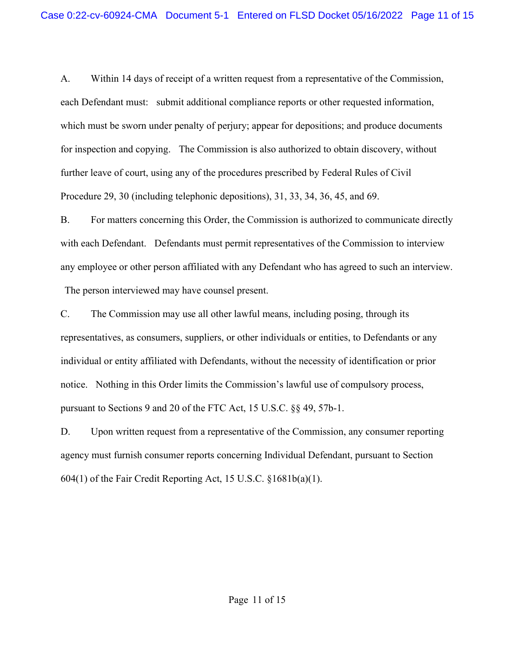$A<sub>1</sub>$  each Defendant must: submit additional compliance reports or other requested information, which must be sworn under penalty of perjury; appear for depositions; and produce documents for inspection and copying. The Commission is also authorized to obtain discovery, without further leave of court, using any of the procedures prescribed by Federal Rules of Civil Procedure 29, 30 (including telephonic depositions), 31, 33, 34, 36, 45, and 69. Within 14 days of receipt of a written request from a representative of the Commission,

**B.**  with each Defendant. Defendants must permit representatives of the Commission to interview any employee or other person affiliated with any Defendant who has agreed to such an interview. The person interviewed may have counsel present. For matters concerning this Order, the Commission is authorized to communicate directly

 $C_{\cdot}$  representatives, as consumers, suppliers, or other individuals or entities, to Defendants or any individual or entity affiliated with Defendants, without the necessity of identification or prior notice. Nothing in this Order limits the Commission's lawful use of compulsory process, pursuant to Sections 9 and 20 of the FTC Act, 15 U.S.C. §§ 49, 57b-1. The Commission may use all other lawful means, including posing, through its

D. agency must furnish consumer reports concerning Individual Defendant, pursuant to Section 604(1) of the Fair Credit Reporting Act, 15 U.S.C. §1681b(a)(1). Upon written request from a representative of the Commission, any consumer reporting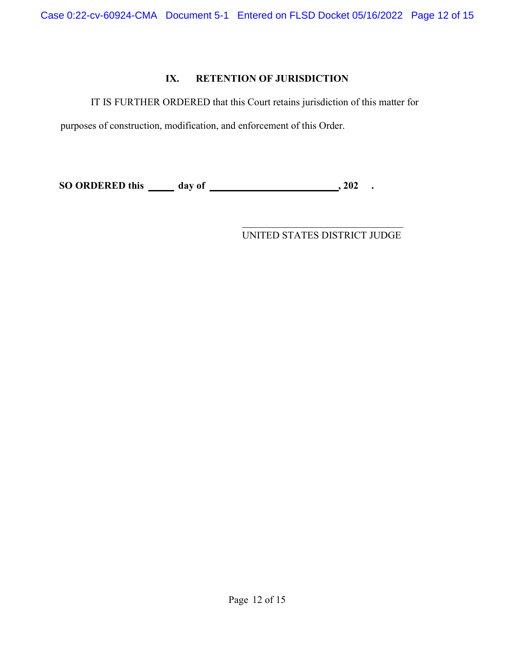# IX. RETENTION OF JURISDICTION

IT IS FURTHER ORDERED that this Court retains jurisdiction of this matter for

purposes of construction, modification, and enforcement of this Order.

 $SO$  ORDERED this  $\qquad \qquad$  day of  $\qquad \qquad$ , 202 .

UNITED STATES DISTRICT JUDGE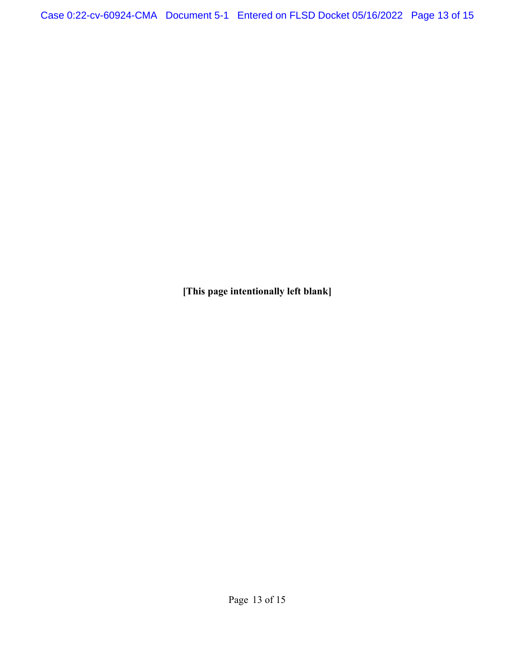[This page intentionally left blank]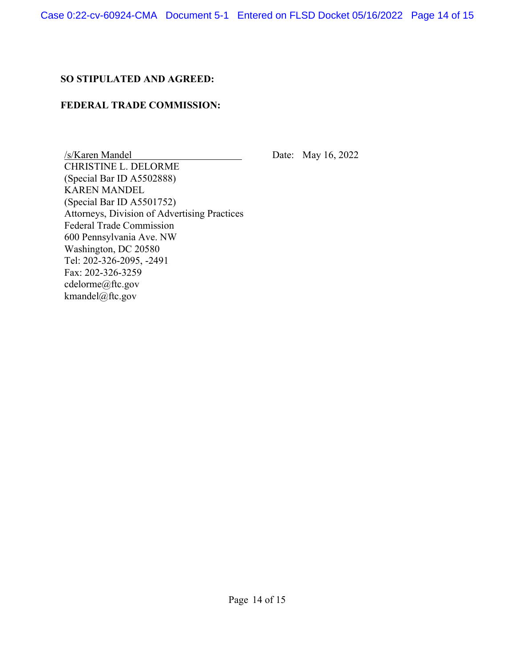Case 0:22-cv-60924-CMA Document 5-1 Entered on FLSD Docket 05/16/2022 Page 14 of 15

# SO STIPULATED AND AGREED:

# FEDERAL TRADE COMMISSION:

/s/Karen Mandel CHRISTINE L. DELORME (Special Bar ID A5502888) KAREN MANDEL (Special Bar ID A5501752) Attorneys, Division of Advertising Practices Federal Trade Commission 600 Pennsylvania Ave. NW Washington, DC 20580 Tel: 202-326-2095, -2491 Fax: 202-326-3259 [cdelorme@ftc.gov](mailto:cdelorme@ftc.gov) [kmandel@ftc.gov](mailto:kmandel@ftc.gov)

Date: May 16, 2022